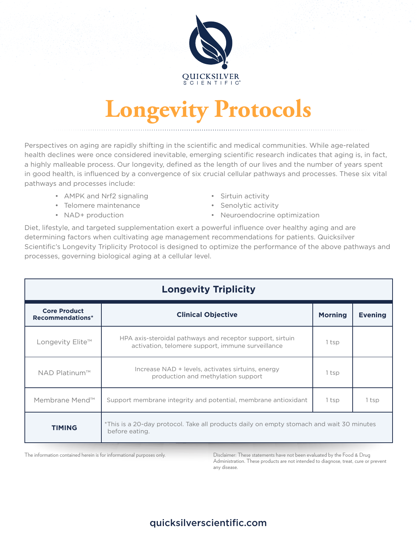

# **Longevity Protocols**

Perspectives on aging are rapidly shifting in the scientific and medical communities. While age-related health declines were once considered inevitable, emerging scientific research indicates that aging is, in fact, a highly malleable process. Our longevity, defined as the length of our lives and the number of years spent in good health, is influenced by a convergence of six crucial cellular pathways and processes. These six vital pathways and processes include:

- AMPK and Nrf2 signaling Sirtuin activity
- Telomere maintenance Senolytic activity
- 
- 
- 
- NAD+ production Neuroendocrine optimization

Diet, lifestyle, and targeted supplementation exert a powerful influence over healthy aging and are determining factors when cultivating age management recommendations for patients. Quicksilver Scientific's Longevity Triplicity Protocol is designed to optimize the performance of the above pathways and processes, governing biological aging at a cellular level.

| <b>Longevity Triplicity</b>             |                                                                                                                |                |                |
|-----------------------------------------|----------------------------------------------------------------------------------------------------------------|----------------|----------------|
| <b>Core Product</b><br>Recommendations* | <b>Clinical Objective</b>                                                                                      | <b>Morning</b> | <b>Evening</b> |
| Longevity Elite™                        | HPA axis-steroidal pathways and receptor support, sirtuin<br>activation, telomere support, immune surveillance | 1 tsp          |                |
| NAD Platinum™                           | Increase NAD + levels, activates sirtuins, energy<br>production and methylation support                        | 1 tsp          |                |
| Membrane Mend™                          | Support membrane integrity and potential, membrane antioxidant                                                 | 1 tsp          | 1 tsp          |
| <b>TIMING</b>                           | *This is a 20-day protocol. Take all products daily on empty stomach and wait 30 minutes<br>before eating.     |                |                |

The information contained herein is for informational purposes only. Disclaimer: These statements have not been evaluated by the Food & Drug Administration. These products are not intended to diagnose, treat, cure or prevent any disease.

### quicksilverscientific.com